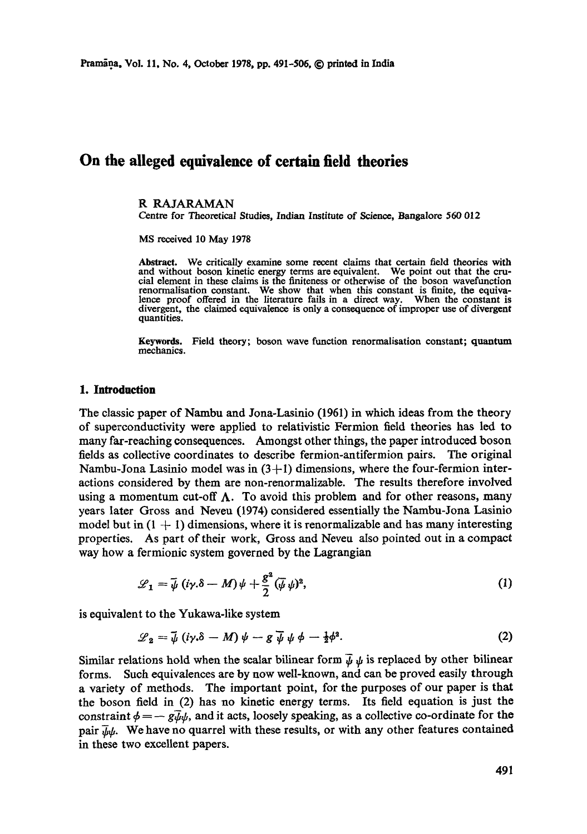# **On the alleged equivalence of certain field theories**

#### R RAJARAMAN

Centre for Theoretical Studies, Indian Institute of Science, Bangalore 560 012

MS received 10 May 1978

Abstract. We critically examine some recent claims that certain field theories with and without boson kinetic energy terms are equivalent. We point out that the cru-cial element in these claims is the finiteness or otherwise of the boson wavefunction renormalisation constant. We show that when this constant is finite, the equivalence proof offered in the literature fails in a direct way. When the constant is divergent, the claimed equivalence is only a consequence of improper use of divergent quantities.

Keywords. Field theory; boson wave function renormalisation constant; quantum mechanics.

#### **1. Introduction**

The classic paper of Nambu and Jona-Lasinio (1961) in which ideas from the theory of superconductivity were applied to relativistic Fermion field theories has led to many far-reaching consequences. Amongst other things, the paper introduced boson fields as collective coordinates to describe fermion-antifermion pairs. The original Nambu-Jona Lasinio model was in  $(3+1)$  dimensions, where the four-fermion interactions considered by them are non-renormalizable. The results therefore involved using a momentum cut-off  $\Lambda$ . To avoid this problem and for other reasons, many years later Gross and Neveu (1974) considered essentially the Nambu-Jona Lasinio model but in  $(1 + 1)$  dimensions, where it is renormalizable and has many interesting properties. As part of their work, Gross and Neveu also pointed out in a compact way how a fermionic system governed by the Lagrangian

$$
\mathscr{L}_1 = \bar{\psi} \left( i \gamma . \delta - M \right) \psi + \frac{g^2}{2} \left( \bar{\psi} \psi \right)^2, \tag{1}
$$

is equivalent to the Yukawa-like system

$$
\mathcal{L}_2 = \bar{\psi} \left( i \gamma . \delta - M \right) \psi - g \bar{\psi} \psi \phi - \frac{1}{2} \phi^2. \tag{2}
$$

Similar relations hold when the scalar bilinear form  $\bar{\psi}$   $\psi$  is replaced by other bilinear forms. Such equivalences are by now well-known, and can be proved easily through a variety of methods. The important point, for the purposes of our paper is that the boson field in (2) has no kinetic energy terms. Its field equation is just the constraint  $\phi = -g\bar{\psi}\psi$ , and it acts, loosely speaking, as a collective co-ordinate for the pair  $\bar{u}_b$ . We have no quarrel with these results, or with any other features contained in these two excellent papers.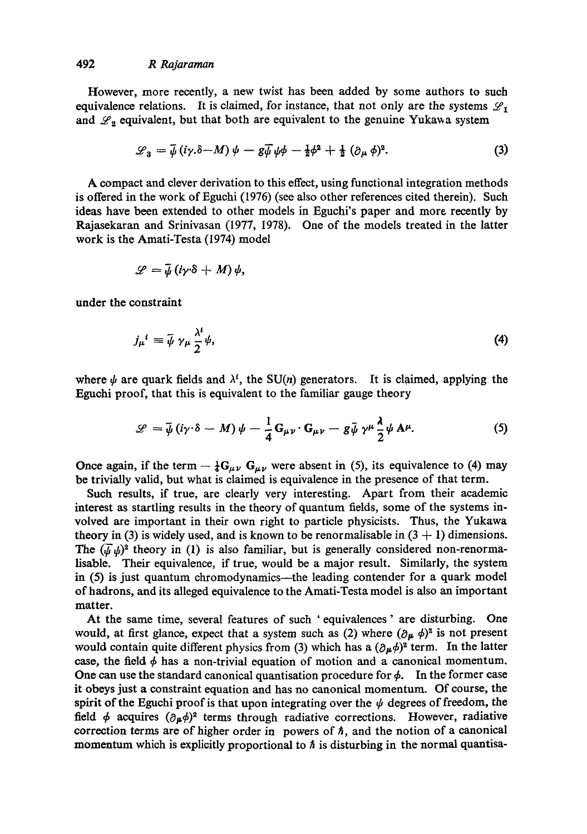However, more recently, a new twist has been added by some authors to such equivalence relations. It is claimed, for instance, that not only are the systems  $\mathscr{L}_1$ and  $\mathscr{L}_2$  equivalent, but that both are equivalent to the genuine Yukawa system

$$
\mathcal{L}_3 = \bar{\psi} \left( i\gamma \delta - M \right) \psi - g \bar{\psi} \psi \phi - \frac{1}{2} \phi^2 + \frac{1}{2} \left( \partial_\mu \phi \right)^2. \tag{3}
$$

A compact and clever derivation to this effect, using functional integration methods is offered in the work of Eguchi (1976) (see also other references cited therein). Such ideas have been extended to other models in Eguehi's paper and more recently by Rajasekaran and Srinivasan (1977, 1978). One of the models treated in the latter work is the Amati-Testa (1974) model

$$
\mathscr{L}=\bar{\psi}\left(i\gamma\delta+M\right)\psi,
$$

under the constraint

$$
j_{\mu}{}^{i} \equiv \bar{\psi} \; \gamma_{\mu} \frac{\lambda^{i}}{2} \psi, \tag{4}
$$

where  $\psi$  are quark fields and  $\lambda^i$ , the SU(n) generators. It is claimed, applying the Eguchi proof, that this is equivalent to the familiar gauge theory

$$
\mathscr{L} = \bar{\psi} \left( i \gamma \cdot \delta - M \right) \psi - \frac{1}{4} \mathbf{G}_{\mu \nu} \cdot \mathbf{G}_{\mu \nu} - g \bar{\psi} \gamma^{\mu} \frac{\lambda}{2} \psi \mathbf{A}^{\mu}.
$$
 (5)

Once again, if the term  $-\frac{1}{4}G_{\mu\nu}G_{\mu\nu}$  were absent in (5), its equivalence to (4) may be trivially valid, but what is claimed is equivalence in the presence of that term.

Such results, if true, are clearly very interesting. Apart from their academic interest as startling results in the theory of quantum fields, some of the systems involved are important in their own right to particle physicists. Thus, the Yukawa theory in (3) is widely used, and is known to be renormalisable in  $(3 + 1)$  dimensions. The  $(\bar{\psi}\psi)^2$  theory in (1) is also familiar, but is generally considered non-renormalisable. Their equivalence, if true, would be a major result. Similarly, the system in (5) is just quantum chromodynamics—the leading contender for a quark model of hadrons, and its alleged equivalence to the Amati-Testa model is also an important matter.

At the same time, several features of such ' equivalences ' are disturbing. One would, at first glance, expect that a system such as (2) where  $(\partial_{\mu} \phi)^2$  is not present would contain quite different physics from (3) which has a  $(\partial_{\mu}\phi)^2$  term. In the latter case, the field  $\phi$  has a non-trivial equation of motion and a canonical momentum. One can use the standard canonical quantisation procedure for  $\phi$ . In the former case it obeys just a constraint equation and has no canonical momentum. Of course, the spirit of the Eguchi proof is that upon integrating over the  $\psi$  degrees of freedom, the field  $\phi$  acquires  $(\partial_{\mu}\phi)^2$  terms through radiative corrections. However, radiative correction terms are of higher order in powers of  $\hbar$ , and the notion of a canonical momentum which is explicitly proportional to  $\hbar$  is disturbing in the normal quantisa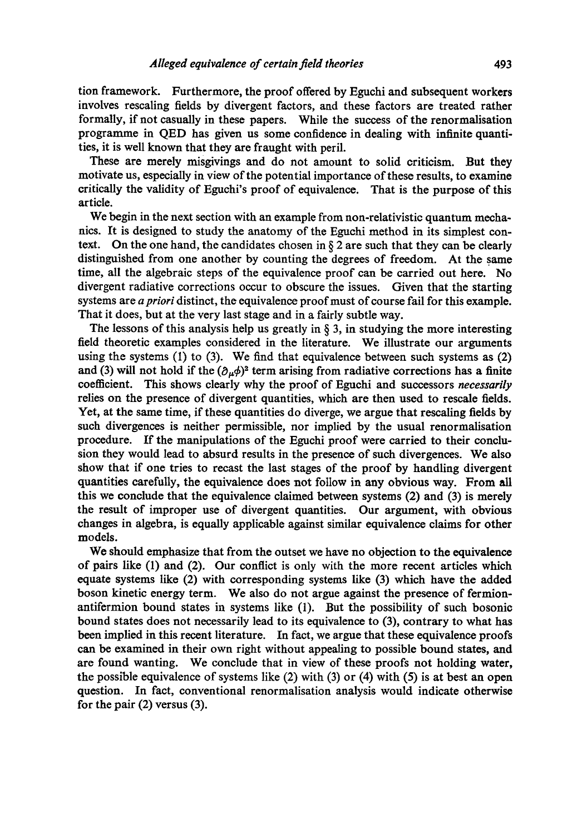tion framework. Furthermore, the proof offered by Eguchi and subsequent workers involves rescaling fields by divergent factors, and these factors are treated rather formally, if not casually in these papers. While the success of the renormalisation programme in QED has given us some confidence in dealing with infinite quantities, it is well known that they are fraught with peril.

These are merely misgivings and do not amount to solid criticism. But they motivate us, especially in view of the potential importance of these results, to examine critically the validity of Eguchi's proof of equivalence. That is the purpose of this article.

We begin in the next section with an example from non-relativistic quantum mechanics. It is designed to study the anatomy of the Eguchi method in its simplest context. On the one hand, the candidates chosen in  $\S 2$  are such that they can be clearly distinguished from one another by counting the degrees of freedom. At the same time, all the algebraic steps of the equivalence proof can be carried out here. No divergent radiative corrections occur to obscure the issues. Given that the starting systems are *apriori* distinct, the equivalence proof must of course fail for this example. That it does, but at the very last stage and in a fairly subtle way.

The lessons of this analysis help us greatly in  $\S$  3, in studying the more interesting field theoretic examples considered in the literature. We illustrate our arguments using the systems  $(1)$  to  $(3)$ . We find that equivalence between such systems as  $(2)$ and (3) will not hold if the  $(\partial_{\mu}\phi)^2$  term arising from radiative corrections has a finite coefficient. This shows clearly why the proof of Eguchi and successors *necessarily*  relies on the presence of divergent quantities, which are then used to rescale fields. Yet, at the same time, if these quantities do diverge, we argue that rescaling fields by such divergences is neither permissible, nor implied by the usual renormaiisation procedure. If the manipulations of the Eguchi proof were carried to their conclusion they would lead to absurd results in the presence of such divergences. We also show that if one tries to recast the last stages of the proof by handling divergent quantities carefully, the equivalence does not follow in any obvious way. From all this we conclude that the equivalence claimed between systems (2) and (3) is merely the result of improper use of divergent quantities. Our argument, with obvious changes in algebra, is equally applicable against similar equivalence claims for other models.

We should emphasize that from the outset we have no objection to the equivalence of pairs like (1) and (2). Our conflict is only with the more recent articles which equate systems like (2) with corresponding systems like (3) which have the added boson kinetic energy term. We also do not argue against the presence of fermionantifermion bound states in systems like (1). But the possibility of such bosonic bound states does not necessarily lead to its equivalence to (3), contrary to what has been implied in this recent literature. In fact, we argue that these equivalence proofs can be examined in their own right without appealing to possible bound states, and are found wanting. We conclude that in view of these proofs not holding water, the possible equivalence of systems like  $(2)$  with  $(3)$  or  $(4)$  with  $(5)$  is at best an open question. In fact, conventional renormalisation analysis would indicate otherwise for the pair (2) versus (3).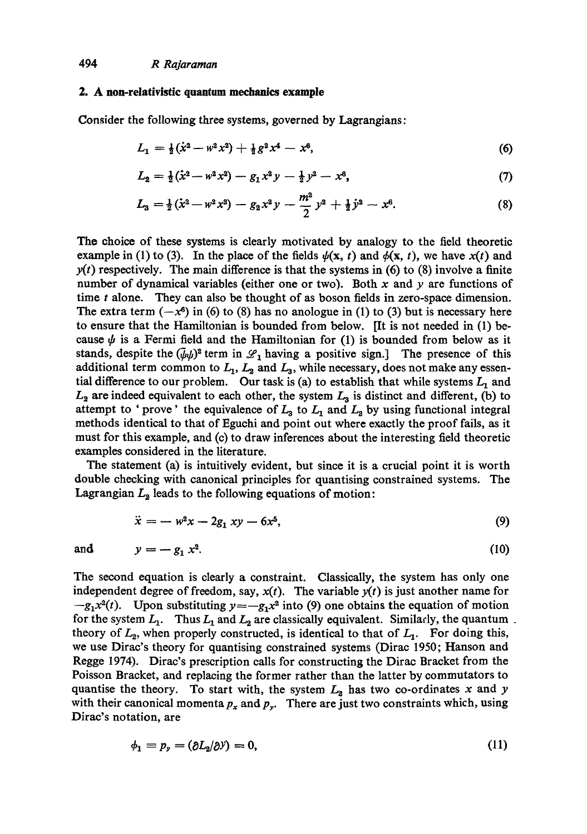#### 2. A non-relativistic quantum mechanics example

Consider the following three systems, governed by Lagrangians:

$$
L_1 = \frac{1}{2}(\dot{x}^2 - w^2 x^2) + \frac{1}{2}g^2 x^4 - x^6, \tag{6}
$$

$$
L_2 = \frac{1}{2}(\dot{x}^2 - w^2 x^2) - g_1 x^2 y - \frac{1}{2}y^2 - x^6,
$$
\n(7)

$$
L_3 = \frac{1}{2}(\dot{x}^2 - w^2 x^2) - g_2 x^2 y - \frac{m^2}{2} y^2 + \frac{1}{2} \dot{y}^2 - x^6. \tag{8}
$$

**The** choice of these systems is clearly motivated by analogy to the field theoretic example in (1) to (3). In the place of the fields  $\psi(x, t)$  and  $\phi(x, t)$ , we have  $x(t)$  and  $y(t)$  respectively. The main difference is that the systems in (6) to (8) involve a finite number of dynamical variables (either one or two). Both x and y are functions of time t alone. They can also be thought of as boson fields in zero-space dimension. The extra term  $(-x^6)$  in (6) to (8) has no anologue in (1) to (3) but is necessary here to ensure that the Hamiltonian is bounded from below. [It is not needed in (1) because  $\psi$  is a Fermi field and the Hamiltonian for (1) is bounded from below as it stands, despite the  $(\bar{\psi}\psi)^2$  term in  $\mathscr{L}_1$  having a positive sign.] The presence of this additional term common to  $L_1$ ,  $L_2$  and  $L_3$ , while necessary, does not make any essential difference to our problem. Our task is (a) to establish that while systems  $L_1$  and  $L_2$  are indeed equivalent to each other, the system  $L_3$  is distinct and different, (b) to attempt to ' prove' the equivalence of  $L_3$  to  $L_1$  and  $L_2$  by using functional integral methods identical to that of Eguchi and point out where exactly the proof fails, as it must for this example, and (c) to draw inferences about the interesting field theoretic examples considered in the literature.

The statement (a) is intuitively evident, but since it is a crucial point it is worth double checking with canonical principles for quantising constrained systems. The Lagrangian  $L_2$  leads to the following equations of motion:

$$
\ddot{x} = -w^2x - 2g_1xy - 6x^5, \tag{9}
$$

and  $y = -g_1 x^2$ . (10)

The second equation is clearly a constraint. Classically, the system has only one independent degree of freedom, say,  $x(t)$ . The variable  $y(t)$  is just another name for  $-g_1x^2(t)$ . Upon substituting  $y=-g_1x^2$  into (9) one obtains the equation of motion for the system  $L_1$ . Thus  $L_1$  and  $L_2$  are classically equivalent. Similarly, the quantum. theory of  $L_2$ , when properly constructed, is identical to that of  $L_1$ . For doing this, we use Dirac's theory for quantising constrained systems (Dirac 1950; Hanson and Regge 1974). Dirac's prescription calls for constructing the Dirac Bracket from the Poisson Bracket, and replacing the former rather than the latter by commutators to quantise the theory. To start with, the system  $L_2$  has two co-ordinates x and y with their canonical momenta  $p_x$  and  $p_y$ . There are just two constraints which, using Dirac's notation, are

$$
\phi_1 \equiv p_y = (\partial L_2/\partial y) = 0, \tag{11}
$$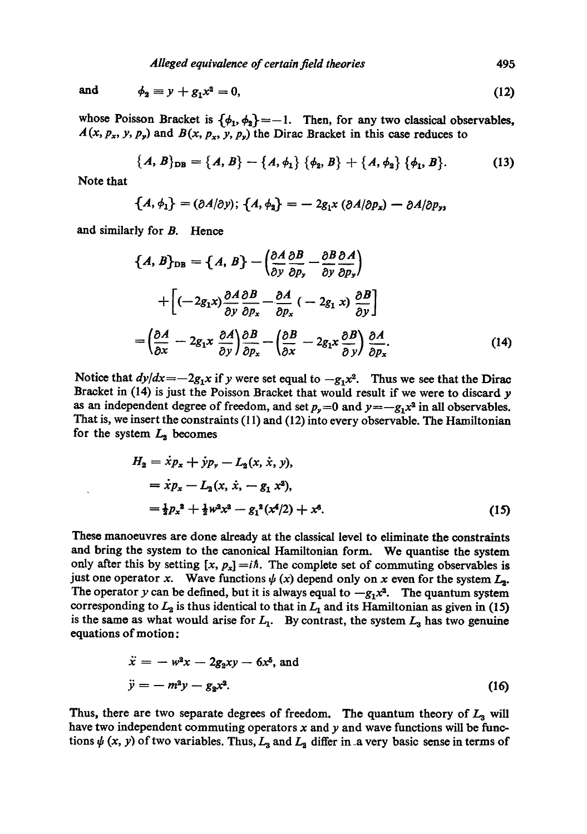and 
$$
\phi_2 = y + g_1 x^2 = 0,
$$
 (12)

whose Poisson Bracket is  $\{\phi_1, \phi_2\} = -1$ . Then, for any two classical observables,  $A(x, p_x, y, p_y)$  and  $B(x, p_x, y, p_y)$  the Dirac Bracket in this case reduces to

$$
\{A, B\}_{\text{DB}} = \{A, B\} - \{A, \phi_1\} \{\phi_2, B\} + \{A, \phi_2\} \{\phi_1, B\}. \tag{13}
$$

Note that

$$
\{A,\phi_1\}=(\partial A/\partial y);\ \{A,\phi_2\}=-2g_1x\ (\partial A/\partial p_x)-\partial A/\partial p_y,
$$

and similarly for B. Hence

$$
\{A, B\}_{DB} = \{A, B\} - \left(\frac{\partial A}{\partial y}\frac{\partial B}{\partial p_y} - \frac{\partial B}{\partial y}\frac{\partial A}{\partial p_y}\right)
$$
  
+ 
$$
\left[(-2g_1x)\frac{\partial A}{\partial y}\frac{\partial B}{\partial p_x} - \frac{\partial A}{\partial p_x}(-2g_1x)\frac{\partial B}{\partial y}\right]
$$
  
= 
$$
\left(\frac{\partial A}{\partial x} - 2g_1x\frac{\partial A}{\partial y}\right)\frac{\partial B}{\partial p_x} - \left(\frac{\partial B}{\partial x} - 2g_1x\frac{\partial B}{\partial y}\right)\frac{\partial A}{\partial p_x}.
$$
 (14)

Notice that  $dy/dx = -2g_1x$  if y were set equal to  $-g_1x^2$ . Thus we see that the Dirac Bracket in (14) is just the Poisson Bracket that would result if we were to discard y as an independent degree of freedom, and set  $p_y = 0$  and  $y = -g_1x^2$  in all observables. That is, we insert the constraints (11) and (12) into every observable. The Hamiltonian for the system  $L_2$  becomes

$$
H_2 = \dot{x}p_x + \dot{y}p_y - L_2(x, \dot{x}, y),
$$
  
=  $\dot{x}p_x - L_2(x, \dot{x}, -g_1 x^2),$   
=  $\frac{1}{2}p_x^2 + \frac{1}{2}w^2x^2 - g_1^2(x^4/2) + x^6.$  (15)

These manoeuvres are done already at the classical level to eliminate the constraints and bring the system to the canonical Hamiltonian form. We quantise the system only after this by setting  $[x, p_x] = i\hbar$ . The complete set of commuting observables is just one operator x. Wave functions  $\psi(x)$  depend only on x even for the system  $L_2$ . The operator y can be defined, but it is always equal to  $-g_1x^2$ . The quantum system corresponding to  $L_2$  is thus identical to that in  $L_1$  and its Hamiltonian as given in (15) is the same as what would arise for  $L_1$ . By contrast, the system  $L_3$  has two genuine equations of motion:

$$
\ddot{x} = -w^2x - 2g_2xy - 6x^5, \text{ and}
$$
  

$$
\ddot{y} = -m^2y - g_2x^2.
$$
 (16)

Thus, there are two separate degrees of freedom. The quantum theory of  $L_3$  will have two independent commuting operators  $x$  and  $y$  and wave functions will be functions  $\psi$  (x, y) of two variables. Thus,  $L_3$  and  $L_2$  differ in a very basic sense in terms of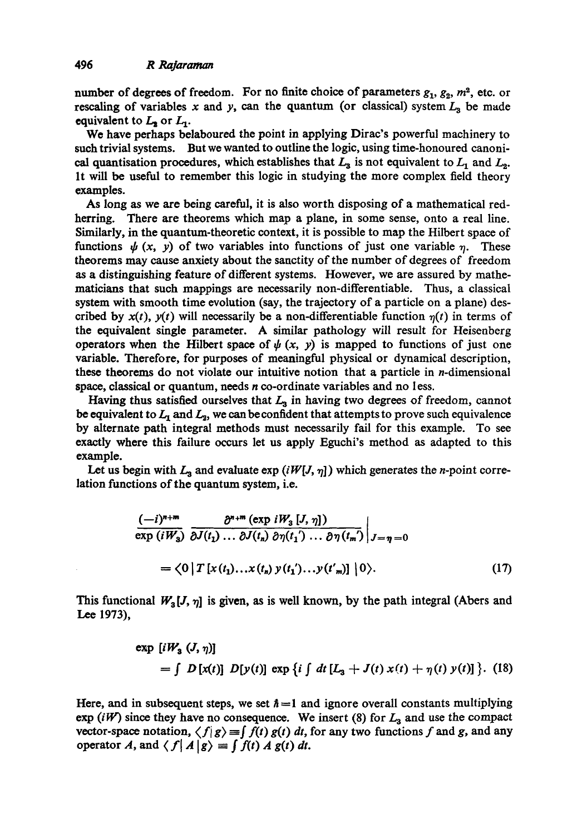number of degrees of freedom. For no finite choice of parameters  $g_1, g_2, m^2$ , etc. or rescaling of variables x and y, can the quantum (or classical) system  $L_3$  be made equivalent to  $L_2$  or  $L_1$ .

We have perhaps belaboured the point in applying Dirac's powerful machinery to such trivial systems. But we wanted to outline the logic, using time-honoured canonical quantisation procedures, which establishes that  $L_3$  is not equivalent to  $L_1$  and  $L_2$ . It will be useful to remember this logic in studying the more complex field theory examples.

As long as we are being careful, it is also worth disposing of a mathematical redherring. There are theorems which map a plane, in some sense, onto a real line. Similarly, in the quantum-theoretic context, it is possible to map the Hilbert space of functions  $\psi(x, y)$  of two variables into functions of just one variable  $\eta$ . These theorems may cause anxiety about the sanctity of the number of degrees of freedom as a distinguishing feature of different systems. However, we are assured by mathematicians that such mappings are necessarily non-differentiable. Thus, a classical system with smooth time evolution (say, the trajectory of a particle on a plane) described by  $x(t)$ ,  $y(t)$  will necessarily be a non-differentiable function  $\eta(t)$  in terms of the equivalent single parameter. A similar pathology will result for Heisenberg operators when the Hilbert space of  $\psi(x, y)$  is mapped to functions of just one variable. Therefore, for purposes of meaningful physical or dynamical description, these theorems do not violate our intuitive notion that a particle in n-dimensional space, classical or quantum, needs n co-ordinate variables and no Iess.

Having thus satisfied ourselves that  $L<sub>3</sub>$  in having two degrees of freedom, cannot be equivalent to  $L_1$  and  $L_3$ , we can be confident that attempts to prove such equivalence by alternate path integral methods must necessarily fail for this example. To see exactly where this failure occurs let us apply Eguchi's method as adapted to this example.

Let us begin with  $L_3$  and evaluate exp  $(iW[J, \eta])$  which generates the *n*-point correlation functions of the quantum system, i.e.

$$
\frac{(-i)^{n+m}}{\exp(iW_3)} \frac{\partial^{n+m} (\exp iW_3 [J, \eta])}{\partial J(t_1) \dots \partial J(t_n) \partial \eta(t_1') \dots \partial \eta(t_m')} \Big|_{J=\eta=0}
$$
  
=  $\langle 0 | T [x(t_1) \dots x(t_n) y(t_1') \dots y(t_m)] | 0 \rangle.$  (17)

This functional  $W_3[J, \eta]$  is given, as is well known, by the path integral (Abers and Lee 1973),

$$
\exp [iW_3 (J, \eta)]
$$
  
=  $\int D [x(t)] D [y(t)] \exp {i \int dt [L_3 + J(t) x(t) + \eta(t) y(t)] }.$  (18)

Here, and in subsequent steps, we set  $\hbar = 1$  and ignore overall constants multiplying exp (iW) since they have no consequence. We insert (8) for  $L_3$  and use the compact vector-space notation,  $\langle f|g \rangle = \int f(t) g(t) dt$ , for any two functions f and g, and any operator A, and  $\langle f | A | g \rangle = \int f(t) A g(t) dt$ .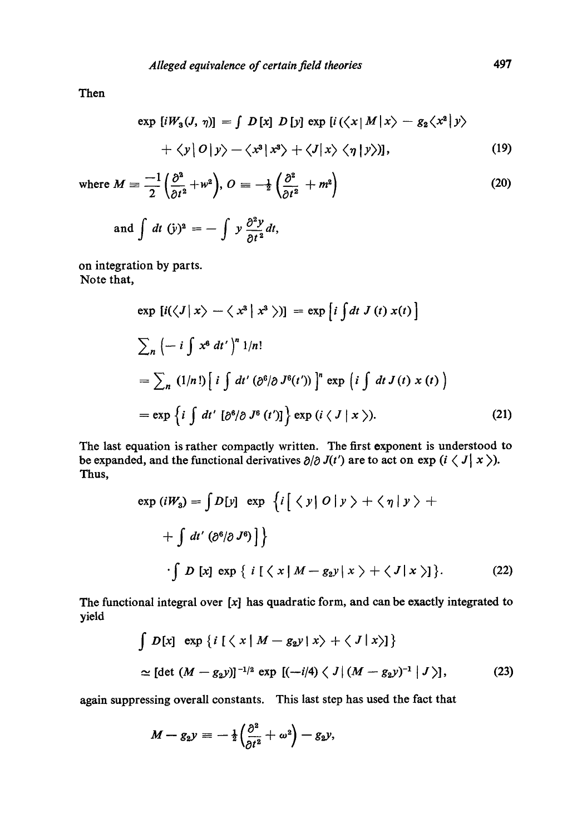Then

$$
\exp [iW_3(J, \eta)] = \int D[x] D[y] \exp [i(\langle x | M | x \rangle - g_2 \langle x^2 | y \rangle + \langle y | O | y \rangle - \langle x^3 | x^3 \rangle + \langle J | x \rangle \langle \eta | y \rangle)], \qquad (19)
$$

where 
$$
M = -\frac{1}{2} \left( \frac{\partial^2}{\partial t^2} + w^2 \right), O = -\frac{1}{2} \left( \frac{\partial^2}{\partial t^2} + m^2 \right)
$$
 (20)

and 
$$
\int dt \, (\dot{y})^2 = - \int y \frac{\partial^2 y}{\partial t^2} dt
$$
,

on integration by parts. Note that,

$$
\exp [i(\langle J | x \rangle - \langle x^3 | x^3 \rangle)] = \exp [i \int dt J(t) x(t)]
$$
  

$$
\sum_{n} \left( -i \int x^6 dt' \right)^n 1/n!
$$
  

$$
= \sum_{n} (1/n!) [i \int dt' (\partial^6/\partial J^6(t'))]^n \exp [i \int dt J(t) x(t)]
$$
  

$$
= \exp \{i \int dt' [\partial^6/\partial J^6(t')] \} \exp (i \langle J | x \rangle).
$$
 (21)

The last equation is rather compactly written. The first exponent is understood to be expanded, and the functional derivatives  $\partial/\partial J(t')$  are to act on exp  $(i \langle J | x \rangle)$ . Thus,

$$
\exp(iW_3) = \int D[y] \exp \left\{ i \Big[ \langle y | O | y \rangle + \langle \eta | y \rangle + \Big\{ \int dt' \left( \partial^6 / \partial J^6 \right) \Big] \right\}
$$
  
 
$$
\cdot \int D[x] \exp \{ i \Big[ \langle x | M - g_2 y | x \rangle + \langle J | x \rangle \Big\}. \tag{22}
$$

The functional integral over  $[x]$  has quadratic form, and can be exactly integrated to yield

$$
\int D[x] \exp \{i \left[ \langle x | M - g_2 y | x \rangle + \langle J | x \rangle \right] \}
$$
  
 
$$
\simeq [\det (M - g_2 y)]^{-1/2} \exp [(-i/4) \langle J | (M - g_2 y)^{-1} | J \rangle],
$$
 (23)

again suppressing overall constants. This last step has used the fact that

$$
M - g_2 y = -\tfrac{1}{2} \Big( \frac{\partial^2}{\partial t^2} + \omega^2 \Big) - g_2 y,
$$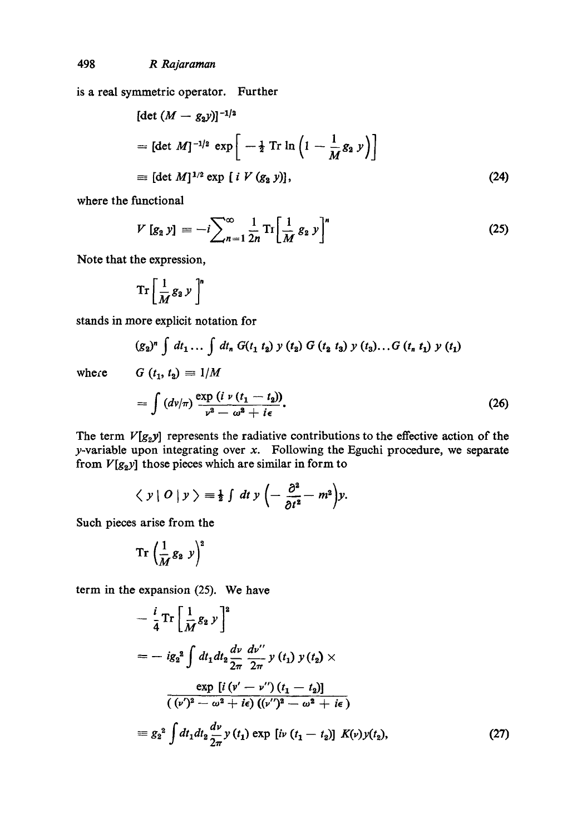is a real symmetrie operator. Further

$$
[\det (M - g_2 y)]^{-1/2}
$$
  
=  $[\det M]^{-1/2} \exp \left[ -\frac{1}{2} \operatorname{Tr} \ln \left( 1 - \frac{1}{M} g_2 y \right) \right]$   
 $\equiv [\det M]^{1/2} \exp [i V (g_2 y)],$  (24)

where the functional

$$
V\left[g_{2}\,y\right]=-\frac{i}{2}\sum_{n=1}^{\infty}\frac{1}{2n}\,\mathrm{Tr}\left[\frac{1}{M}\,g_{2}\,y\right]^{n}\tag{25}
$$

Note that the expression,

$$
\operatorname{Tr}\left[\frac{1}{M}g_2y\right]^n
$$

stands in more explicit notation for

$$
(g_2)^n \int dt_1 \dots \int dt_n G(t_1 \ t_2) \ y \ (t_2) \ G \ (t_2 \ t_3) \ y \ (t_3) \dots G \ (t_n \ t_1) \ y \ (t_1)
$$
  

$$
G \ (t_1, t_2) \equiv 1/M
$$

where

$$
= \int (d\nu/\pi) \frac{\exp(i \nu (t_1 - t_2))}{\nu^2 - \omega^2 + i\epsilon}.
$$
 (26)

The term  $V[g_2y]$  represents the radiative contributions to the effective action of the  $y$ -variable upon integrating over  $x$ . Following the Eguchi procedure, we separate from *V[g2y]* those pieces which are similar in form to

$$
\langle y | O | y \rangle = \frac{1}{2} \int dt y \left( - \frac{\partial^2}{\partial t^2} - m^2 \right) y.
$$

Such pieces arise from the

$$
\mathrm{Tr}\,\left(\frac{1}{M}\,g_{2}\,y\right)^{2}
$$

term in the expansion (25). We have

$$
-\frac{i}{4}\operatorname{Tr}\left[\frac{1}{M}g_{2} y\right]^{2}
$$
\n
$$
=-ig_{2}^{2}\int dt_{1}dt_{2}\frac{dv}{2\pi}\frac{dv''}{2\pi}y(t_{1})y(t_{2}) \times
$$
\n
$$
\frac{\exp[i(v'-v'')(t_{1}-t_{2})]}{(v')^{2}-\omega^{2}+i\epsilon((v')^{2}-\omega^{2}+i\epsilon)}
$$
\n
$$
\equiv g_{2}^{2}\int dt_{1}dt_{2}\frac{dv}{2\pi}y(t_{1})\exp[i v(t_{1}-t_{2})] K(v)y(t_{2}), \qquad (27)
$$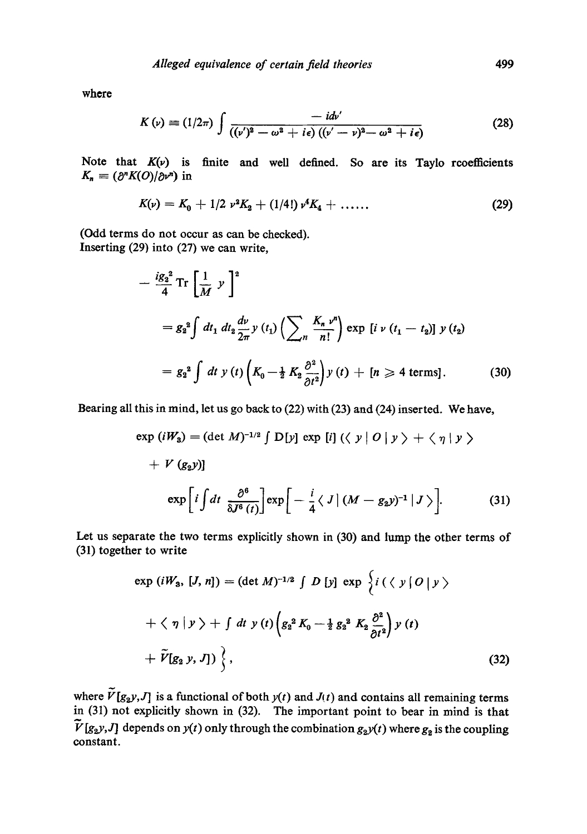where

$$
K(\nu) \equiv (1/2\pi) \int \frac{-id\nu'}{((\nu')^2 - \omega^2 + i\epsilon) ((\nu' - \nu)^2 - \omega^2 + i\epsilon)} \tag{28}
$$

Note that  $K(v)$  is finite and well defined. So are its Taylo recoefficients  $K_n = (\partial^n K(O)/\partial \nu^n)$  in

$$
K(\nu) = K_0 + 1/2 \nu^2 K_2 + (1/4!) \nu^4 K_4 + \dots
$$
 (29)

(Odd terms do not occur as can be checked). Inserting (29) into (27) we can write,

$$
-\frac{ig_2^2}{4}\operatorname{Tr}\left[\frac{1}{M}y\right]^2
$$
  
=  $g_2^2 \int dt_1 dt_2 \frac{dv}{2\pi} y(t_1) \left(\sum_n \frac{K_n v^n}{n!}\right) \exp\left[i v(t_1 - t_2)\right] y(t_2)$   
=  $g_2^2 \int dt y(t) \left(K_0 - \frac{1}{2} K_2 \frac{\partial^2}{\partial t^2}\right) y(t) + [n \ge 4 \text{ terms}].$  (30)

Bearing all this in mind, let us go back to (22) with (23) and (24) inserted. We have,

$$
\exp(iW_3) = (\det M)^{-1/2} \int D[y] \exp[i] (\langle y | O | y \rangle + \langle \eta | y \rangle )
$$
  
+  $V (g_2 y)$ ]  

$$
\exp\left[i \int dt \frac{\partial^6}{\delta J^6(t)} \right] \exp\left[-\frac{i}{4} \langle J | (M - g_2 y)^{-1} | J \rangle \right].
$$
 (31)

Let us separate the two terms explicitly shown in (30) and lump the other terms of (31) together to write

$$
\exp(iW_3, [J, n]) = (\det M)^{-1/2} \int D [y] \exp \left\{ i (\langle y | O | y \rangle + \langle \eta | y \rangle + \int dt y (t) \left( g_2^2 K_0 - \frac{1}{2} g_2^2 K_2 \frac{\partial^2}{\partial t^2} \right) y (t) + \tilde{V}[g_2 y, J] \right\},
$$
\n(32)

where  $V[g_2y, J]$  is a functional of both  $y(t)$  and  $J(t)$  and contains all remaining terms in (31) not explicitly shown in (32). The important point to bear in mind is that  $\widetilde{V}[g_2y,J]$  depends on  $y(t)$  only through the combination  $g_2y(t)$  where  $g_2$  is the coupling constant.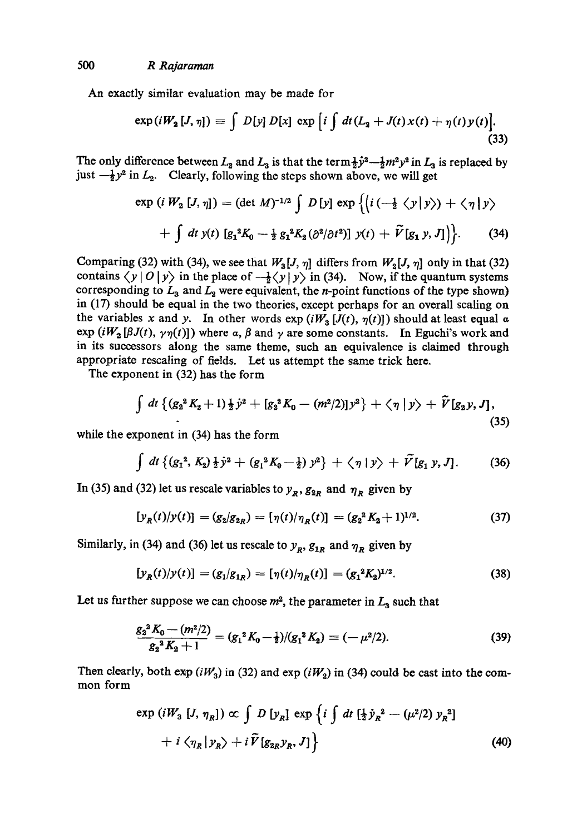An exactly similar evaluation may be made for

$$
\exp(iW_2\,[J,\,\eta])\,\equiv\,\int\,D\,[y]\,D\,[x]\,\exp\,\Big[i\,\int\,dt\,(L_2\,+\,J(t)\,x(t)\,+\,\eta(t)\,y(t)\Big].\tag{33}
$$

The only difference between  $L_2$  and  $L_3$  is that the  $\text{term} \frac{1}{2} \dot{y}^2 - \frac{1}{2} m^2 y^2$  in  $L_3$  is replaced by just  $-\frac{1}{2}y^2$  in  $L_2$ . Clearly, following the steps shown above, we will get

$$
\exp (i W_2 [J, \eta]) = (\det M)^{-1/2} \int D [y] \exp \{ (i \left( -\frac{1}{2} \langle y | y \rangle \right) + \langle \eta | y \rangle \} + \int dt \ y(t) [g_1^2 K_0 - \frac{1}{2} g_1^2 K_2 (\partial^2 / \partial t^2)] \ y(t) + \widetilde{V} [g_1 y, J] \}]. \tag{34}
$$

Comparing (32) with (34), we see that  $W_3[J, \eta]$  differs from  $W_2[J, \eta]$  only in that (32) contains  $\langle y | 0 | y \rangle$  in the place of  $-\frac{1}{2}\langle y | y \rangle$  in (34). Now, if the quantum systems corresponding to  $L_3$  and  $L_2$  were equivalent, the *n*-point functions of the type shown) in (17) should be equal in the two theories, except perhaps for an overall scaling on the variables x and y. In other words  $\exp(iW_3[J(t), \eta(t)])$  should at least equal a  $exp(iW_2[\beta J(t), \gamma \eta(t)])$  where a,  $\beta$  and  $\gamma$  are some constants. In Eguchi's work and in its successors along the same theme, such an equivalence is claimed through appropriate rescaling of fields. Let us attempt the same trick here.

The exponent in (32) has the form

$$
\int dt \left\{ (g_2^2 K_2 + 1) \frac{1}{2} \dot{y}^2 + [g_2^2 K_0 - (m^2/2)] y^2 \right\} + \langle \eta | y \rangle + \tilde{V} [g_2 y, J], \tag{35}
$$

while the exponent in (34) has the form

$$
\int dt \left\{ (g_1^2, K_2) \frac{1}{2} \dot{y}^2 + (g_1^2 K_0 - \frac{1}{2}) y^2 \right\} + \langle \eta | y \rangle + \tilde{V} [g_1 y, J]. \tag{36}
$$

In (35) and (32) let us rescale variables to  $y_R$ ,  $g_{2R}$  and  $\eta_R$  given by

$$
[y_R(t)/y(t)] = (g_2/g_{2R}) = [\eta(t)/\eta_R(t)] = (g_2^2 K_2 + 1)^{1/2}.
$$
 (37)

Similarly, in (34) and (36) let us rescale to  $y_R$ ,  $g_{1R}$  and  $\eta_R$  given by

$$
[y_R(t)/y(t)] = (g_1/g_{1R}) = [\eta(t)/\eta_R(t)] = (g_1^2 K_2)^{1/2}.
$$
 (38)

Let us further suppose we can choose  $m^2$ , the parameter in  $L_3$  such that

$$
\frac{g_2^2 K_0 - (m^2/2)}{g_2^2 K_2 + 1} = (g_1^2 K_0 - \frac{1}{2})/(g_1^2 K_2) = (-\mu^2/2).
$$
 (39)

Then clearly, both  $exp(iW_3)$  in (32) and  $exp(iW_2)$  in (34) could be cast into the common form

$$
\exp(iW_3 [J, \eta_R]) \propto \int D [y_R] \exp \{i \int dt [\frac{1}{2} \dot{y}_R^2 - (\mu^2/2) y_R^2] + i \langle \eta_R | y_R \rangle + i \tilde{V} [g_{2R} y_R, J] \}
$$
\n(40)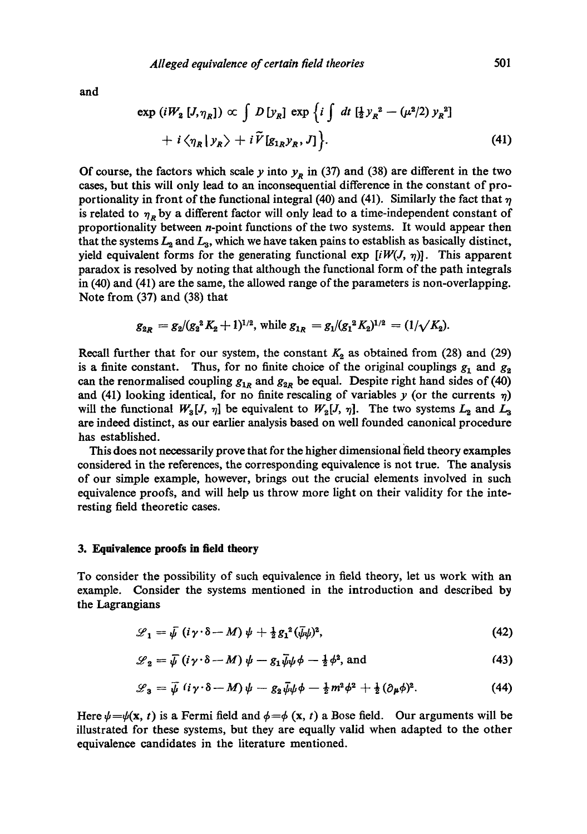**and** 

$$
\exp\left(iW_2\left[J,\eta_R\right]\right) \propto \int D\left[y_R\right] \exp\left\{i \int dt \left[\frac{1}{2}y_R^2 - (\mu^2/2) y_R^2\right] + i \langle \eta_R | y_R \rangle + i \widetilde{V}[g_{1R}y_R, J] \right\}.
$$
\n(41)

Of course, the factors which scale y into  $y_R$  in (37) and (38) are different in the two cases, but this will only lead to an inconsequential difference in the constant of proportionality in front of the functional integral (40) and (41). Similarly the fact that  $\eta$ is related to  $\eta_R$  by a different factor will only lead to a time-independent constant of proportionality between *n*-point functions of the two systems. It would appear then that the systems  $L_2$  and  $L_3$ , which we have taken pains to establish as basically distinct, yield equivalent forms for the generating functional  $\exp[iW(J, \eta)]$ . This apparent paradox is resolved by noting that although the functional form of the path integrals in (40) and (41) are the same, the allowed range of the parameters is non-overlapping. Note from (37) and (38) that

$$
g_{2R} = g_2/(g_2^2 K_2 + 1)^{1/2}
$$
, while  $g_{1R} = g_1/(g_1^2 K_2)^{1/2} = (1/\sqrt{K_2})$ .

Recall further that for our system, the constant  $K_2$  as obtained from (28) and (29) is a finite constant. Thus, for no finite choice of the original couplings  $g_1$  and  $g_2$ can the renormalised coupling  $g_{1R}$  and  $g_{2R}$  be equal. Despite right hand sides of (40) and (41) looking identical, for no finite rescaling of variables y (or the currents  $\eta$ ) will the functional  $W_3[J, \eta]$  be equivalent to  $W_2[J, \eta]$ . The two systems  $L_2$  and  $L_3$ are indeed distinct, as our earlier analysis based on well founded canonical procedure has established.

This does not necessarily prove that for the higher dimensional field theory examples considered in the references, the corresponding equivalence is not true. The analysis of our simple example, however, brings out the crucial elements involved in such equivalence proofs, and will help us throw more light on their validity for the interesting field theoretic cases.

#### **3. Equivalence proofs in field theory**

To consider the possibility of such equivalence in field theory, let us work with an example. Consider the systems mentioned in the introduction and described by the Lagrangians

$$
\mathscr{L}_1 = \bar{\psi} \left( i \gamma \cdot \delta - M \right) \psi + \tfrac{1}{2} g_1^2 (\bar{\psi} \psi)^2, \tag{42}
$$

$$
\mathcal{L}_2 = \bar{\psi} \left( i \gamma \cdot \delta - M \right) \psi - g_1 \bar{\psi} \psi + \frac{1}{2} \phi^2, \text{ and} \tag{43}
$$

$$
\mathscr{L}_3 = \bar{\psi} \left( i \gamma \cdot \delta - M \right) \psi - g_2 \bar{\psi} \psi \phi - \frac{1}{2} m^2 \phi^2 + \frac{1}{2} (\partial_\mu \phi)^2. \tag{44}
$$

Here  $\psi=\psi(\mathbf{x}, t)$  is a Fermi field and  $\phi=\phi(\mathbf{x}, t)$  a Bose field. Our arguments will be illustrated for these systems, but they are equally valid when adapted to the other equivalence candidates in the literature mentioned.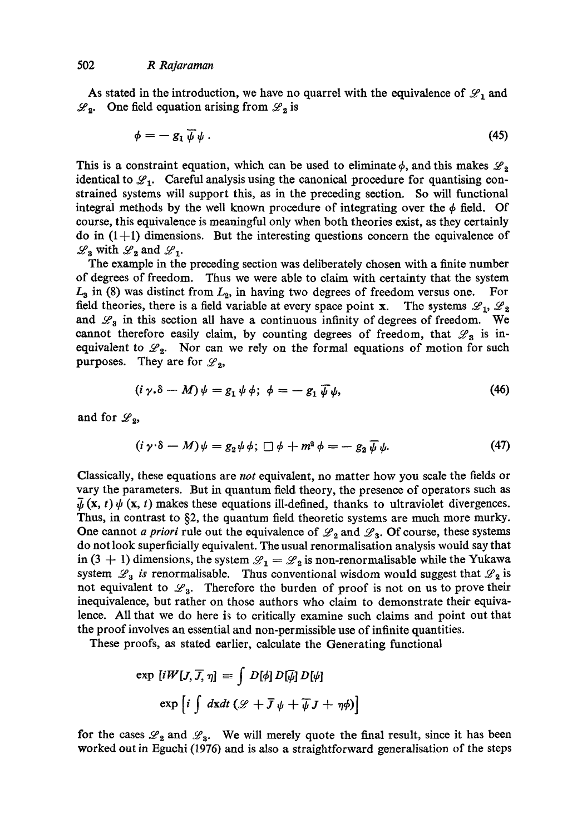As stated in the introduction, we have no quarrel with the equivalence of  $\mathscr{L}_1$  and  $\mathscr{L}_2$ . One field equation arising from  $\mathscr{L}_2$  is

$$
\phi = -g_1 \,\overline{\psi} \,\psi \,. \tag{45}
$$

This is a constraint equation, which can be used to eliminate  $\phi$ , and this makes  $\mathscr{L}_{2}$ identical to  $\mathscr{L}_1$ . Careful analysis using the canonical procedure for quantising constrained systems will support this, as in the preceding section. So will functional integral methods by the well known procedure of integrating over the  $\phi$  field. Of course, this equivalence is meaningful only when both theories exist, as they certainly do in  $(1+1)$  dimensions. But the interesting questions concern the equivalence of  $\mathscr{L}_3$  with  $\mathscr{L}_2$  and  $\mathscr{L}_1$ .

The example in the preceding section was deliberately chosen with a finite number of degrees of freedom. Thus we were able to claim with certainty that the system  $L_3$  in (8) was distinct from  $L_2$ , in having two degrees of freedom versus one. For field theories, there is a field variable at every space point x. The systems  $\mathscr{L}_1, \mathscr{L}_2$ and  $\mathscr{L}_3$  in this section all have a continuous infinity of degrees of freedom. We cannot therefore easily claim, by counting degrees of freedom, that  $\mathscr{L}_3$  is inequivalent to  $\mathscr{L}_2$ . Nor can we rely on the formal equations of motion for such purposes. They are for  $\mathscr{L}_2$ ,

$$
(i \gamma \cdot \delta - M) \psi = g_1 \psi \phi; \ \phi = -g_1 \overline{\psi} \psi, \tag{46}
$$

and for  $\mathscr{L}_2$ ,

$$
(i \gamma \cdot \delta - M)\psi = g_2 \psi \phi; \ \Box \phi + m^2 \phi = -g_2 \overline{\psi} \psi. \tag{47}
$$

Classically, these equations are *not* equivalent, no matter how you scale the fields or vary the parameters. But in quantum field theory, the presence of operators such as  $\bar{u}$  (x, t)  $\psi$  (x, t) makes these equations ill-defined, thanks to ultraviolet divergences. Thus, in contrast to §2, the quantum field theoretic systems are much more murky. One cannot *a priori* rule out the equivalence of  $\mathcal{L}_2$  and  $\mathcal{L}_3$ . Of course, these systems do not look superficially equivalent. The usual renormalisation analysis would say that in (3 + 1) dimensions, the system  $\mathscr{L}_1 = \mathscr{L}_2$  is non-renormalisable while the Yukawa system  $\mathscr{L}_3$  *is* renormalisable. Thus conventional wisdom would suggest that  $\mathscr{L}_2$  is not equivalent to  $\mathscr{L}_3$ . Therefore the burden of proof is not on us to prove their inequivalence, but rather on those authors who claim to demonstrate their equivalence. All that we do here is to critically examine such claims and point out that the proof involves an essential and non-permissible use of infinite quantities.

These proofs, as stated earlier, calculate the Generating functional

$$
\exp [iW[J, \overline{J}, \eta] \equiv \int D[\phi] D[\overline{\psi}] D[\psi]
$$

$$
\exp [i \int d\mathbf{x} dt (\mathcal{L} + \overline{J} \psi + \overline{\psi} J + \eta \phi)]
$$

for the cases  $\mathcal{L}_2$  and  $\mathcal{L}_3$ . We will merely quote the final result, since it has been worked out in Eguchi (1976) and is also a straightforward generalisation of the steps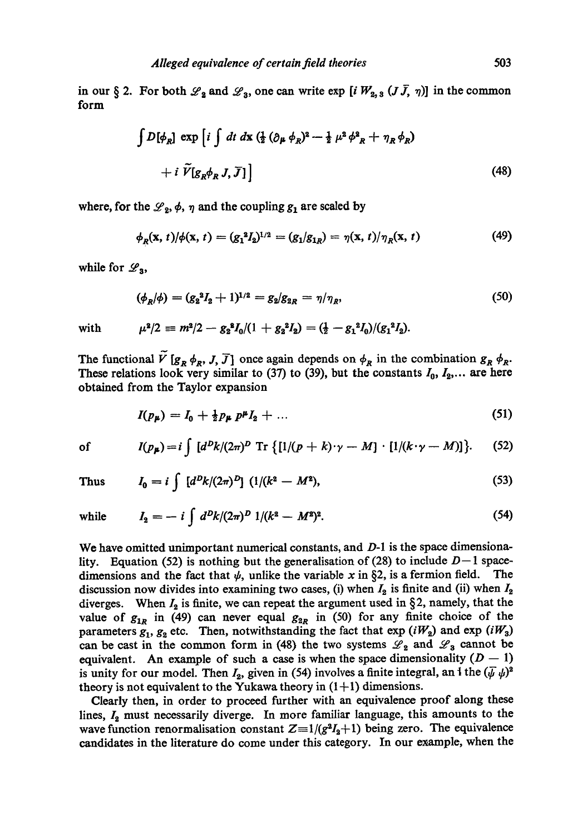in our § 2. For both  $\mathscr{L}_2$  and  $\mathscr{L}_3$ , one can write exp [i  $W_{2,3}$  ( $J\bar{J}$ ,  $\eta$ )] in the common form

$$
\int D[\phi_R] \exp \left[ i \int dt \, dx \, (\frac{1}{2} \left( \partial_\mu \phi_R \right)^2 - \frac{1}{2} \mu^2 \phi^2_R + \eta_R \phi_R) + i \, \widetilde{V}[g_R \phi_R J, \overline{J}] \right]
$$
\n(48)

where, for the  $\mathscr{L}_2$ ,  $\phi$ ,  $\eta$  and the coupling  $g_1$  are scaled by

$$
\phi_R(\mathbf{x}, t) / \phi(\mathbf{x}, t) = (g_1^2 I_2)^{1/2} = (g_1 / g_{1R}) = \eta(\mathbf{x}, t) / \eta_R(\mathbf{x}, t)
$$
\n(49)

while for  $\mathscr{L}_3$ ,

$$
(\phi_R/\phi) = (g_2^2 I_2 + 1)^{1/2} = g_2/g_{2R} = \eta/\eta_R, \tag{50}
$$

with 
$$
\mu^2/2 \equiv m^2/2 - g_2^2 I_0/(1 + g_2^2 I_2) = (\frac{1}{2} - g_1^2 I_0)/(g_1^2 I_2).
$$

The functional  $V[g_R \phi_R, J, \overline{J}]$  once again depends on  $\phi_R$  in the combination  $g_R \phi_R$ . These relations look very similar to (37) to (39), but the constants  $I_0, I_2, \ldots$  are here obtained from the Taylor expansion

$$
I(p_{\mu}) = I_0 + \frac{1}{2} p_{\mu} p^{\mu} I_2 + \dots \tag{51}
$$

of 
$$
I(p_{\mu}) = i \int [d^Dk/(2\pi)^D \operatorname{Tr} \{ [1/(p+k)\cdot \gamma - M] \cdot [1/(k\cdot \gamma - M)] \}.
$$
 (52)

Thus 
$$
I_0 = i \int [d^D k/(2\pi)^D] (1/(k^2 - M^2))
$$
, (53)

while 
$$
I_2 = -i \int d^D k/(2\pi)^D 1/(k^2 - M^2)^2
$$
. (54)

We have omitted unimportant numerical constants, and D-1 is the space dimensionality. Equation (52) is nothing but the generalisation of (28) to include  $D-1$  spacedimensions and the fact that  $\psi$ , unlike the variable x in §2, is a fermion field. The discussion now divides into examining two cases, (i) when  $I_2$  is finite and (ii) when  $I_2$ diverges. When  $I_2$  is finite, we can repeat the argument used in §2, namely, that the value of  $g_{1R}$  in (49) can never equal  $g_{2R}$  in (50) for any finite choice of the parameters  $g_1, g_2$  etc. Then, notwithstanding the fact that  $\exp(iW_2)$  and  $\exp(iW_3)$ can be cast in the common form in (48) the two systems  $\mathscr{L}_2$  and  $\mathscr{L}_3$  cannot be equivalent. An example of such a case is when the space dimensionality  $(D - 1)$ is unity for our model. Then  $I_2$ , given in (54) involves a finite integral, an i the  $(\bar{\psi}\psi)^2$ theory is not equivalent to the Yukawa theory in  $(1+1)$  dimensions.

Clearly then, in order to proceed further with an equivalence proof along these lines,  $I_2$  must necessarily diverge. In more familiar language, this amounts to the wave function renormalisation constant  $Z=1/(g^2I_2+1)$  being zero. The equivalence candidates in the literature do come under this category. In our example, when the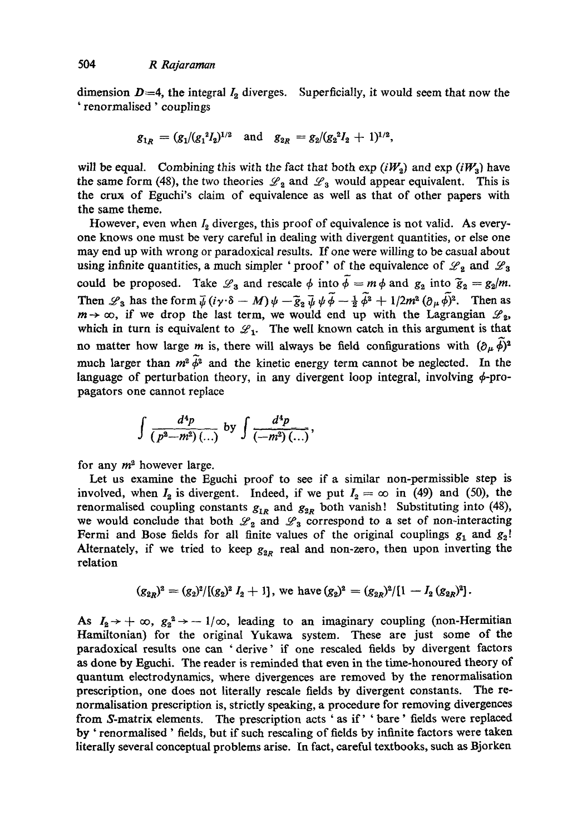dimension  $D=4$ , the integral  $I_2$  diverges. Superficially, it would seem that now the ' renormalised ' couplings

$$
g_{1R} = (g_1/(g_1^2 I_2)^{1/2} \text{ and } g_{2R} = g_2/(g_2^2 I_2 + 1)^{1/2},
$$

will be equal. Combining this with the fact that both  $\exp(iW_2)$  and  $\exp(iW_3)$  have the same form (48), the two theories  $\mathcal{L}_2$  and  $\mathcal{L}_3$  would appear equivalent. This is the crux of Eguchi's claim of equivalence as well as that of other papers with the same theme.

However, even when  $I_2$  diverges, this proof of equivalence is not valid. As everyone knows one must be very careful in dealing with divergent quantities, or else one may end up with wrong or paradoxical results. If one were willing to be casual about using infinite quantities, a much simpler 'proof' of the equivalence of  $\mathscr{L}_2$  and  $\mathscr{L}_3$ could be proposed. Take  $\mathscr{L}_3$  and rescale  $\phi$  into  $\overline{\phi} = m \phi$  and  $g_2$  into  $\overline{g}_2 = g_2/m$ . Then  $\mathscr{L}_3$  has the form  $\overline{\psi}$   $(i\gamma \cdot \delta - M) \psi - \overline{\xi}_2 \overline{\psi} \psi \phi - \frac{1}{2} \phi^2 + 1/2m^2 (\partial_\mu \phi)^2$ . Then as  $m \rightarrow \infty$ , if we drop the last term, we would end up with the Lagrangian  $\mathscr{L}_2$ , which in turn is equivalent to  $\mathcal{L}_1$ . The well known catch in this argument is that no matter how large *m* is, there will always be field configurations with  $(\partial_{\mu} \phi)^2$ much larger than  $m^2 \tilde{\phi}^2$  and the kinetic energy term cannot be neglected. In the language of perturbation theory, in any divergent loop integral, involving  $\phi$ -propagators one cannot replace

$$
\int \frac{d^4p}{(p^2-m^2) (\ldots)} \text{ by } \int \frac{d^4p}{(-m^2) (\ldots)},
$$

for any  $m^2$  however large.

Let us examine the Eguchi proof to see if a similar non-permissible step is involved, when  $I_2$  is divergent. Indeed, if we put  $I_2 = \infty$  in (49) and (50), the renormalised coupling constants  $g_{1R}$  and  $g_{2R}$  both vanish! Substituting into (48), we would conclude that both  $\mathscr{L}_2$  and  $\mathscr{L}_3$  correspond to a set of non-interacting Fermi and Bose fields for all finite values of the original couplings  $g_1$  and  $g_2$ ! Alternately, if we tried to keep  $g_{2R}$  real and non-zero, then upon inverting the relation

$$
(g_{2R})^2 = (g_2)^2/[(g_2)^2 I_2 + 1], \text{ we have } (g_2)^2 = (g_{2R})^2/[1 - I_2 (g_{2R})^2].
$$

As  $I_2 \rightarrow +\infty$ ,  $g_2^2 \rightarrow -1/\infty$ , leading to an imaginary coupling (non-Hermitian Hamiltonian) for the original Yukawa system. These are just some of the paradoxical results one can 'derive' if one resealed fields by divergent factors as done by Eguchi. The reader is reminded that even in the time-honoured theory of quantum eleetrodynamics, where divergences are removed by the renormalisation prescription, one does not literally rescale fields by divergent constants. The renormalisation prescription is, strictly speaking, a procedure for removing divergences from S-matrix elements. The prescription acts ' as if' ' bare' fields were replaced by ' renormalised ' fields, but if such resealing of fields by infinite factors were taken literally several conceptual problems arise. In fact, careful textbooks, such as Bjorken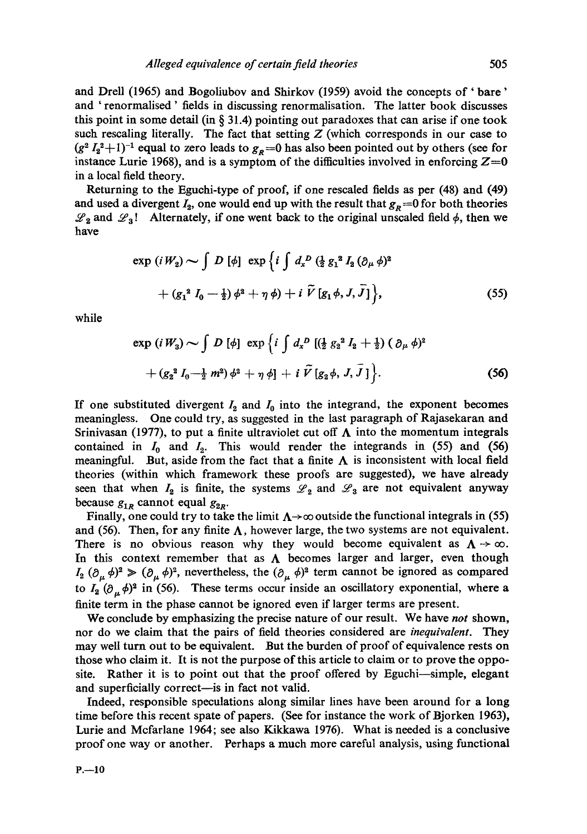and Drell (1965) and Bogoliubov and Shirkov (1959) avoid the concepts of 'bare' and ' renormalised ' fields in discussing renormalisation. The latter book discusses this point in some detail (in  $\S$  31.4) pointing out paradoxes that can arise if one took such rescaling literally. The fact that setting  $Z$  (which corresponds in our case to  $(g^2 I_2^2+1)^{-1}$  equal to zero leads to  $g_p=0$  has also been pointed out by others (see for instance Lurie 1968), and is a symptom of the difficulties involved in enforcing  $Z=0$ in a local field theory.

Returning to the Eguchi-type of proof, if one rescaled fields as per (48) and (49) and used a divergent  $I_2$ , one would end up with the result that  $g_R = 0$  for both theories  $\mathscr{L}_2$  and  $\mathscr{L}_3$ ! Alternately, if one went back to the original unscaled field  $\phi$ , then we have

$$
\exp(iW_2) \sim \int D [\phi] \exp \{i \int d_x^D (\frac{1}{2} g_1^2 I_2 (\partial_\mu \phi)^2 + (g_1^2 I_0 - \frac{1}{2}) \phi^2 + \eta \phi) + i \tilde{V} [g_1 \phi, J, \bar{J}] \},
$$
\n(55)

while

$$
\exp(iW_3) \sim \int D [\phi] \exp \{i \int d_x^D [(\frac{1}{2} g_2^2 I_2 + \frac{1}{2}) (\partial_\mu \phi)^2 + (g_2^2 I_0 - \frac{1}{2} m^2) \phi^2 + \eta \phi] + i \tilde{V} [g_2 \phi, J, \bar{J}] \}.
$$
 (56)

If one substituted divergent  $I_2$  and  $I_0$  into the integrand, the exponent becomes meaningless. One could try, as suggested in the last paragraph of Rajasekaran and Srinivasan (1977), to put a finite ultraviolet cut off  $\Lambda$  into the momentum integrals contained in  $I_0$  and  $I_2$ . This would render the integrands in (55) and (56) meaningful. But, aside from the fact that a finite  $\Lambda$  is inconsistent with local field theories (within which framework these proofs are suggested), we have already seen that when  $I_2$  is finite, the systems  $\mathscr{L}_2$  and  $\mathscr{L}_3$  are not equivalent anyway because  $g_{1R}$  cannot equal  $g_{2R}$ .

Finally, one could try to take the limit  $\Lambda \rightarrow \infty$  outside the functional integrals in (55) and (56). Then, for any finite  $\Lambda$ , however large, the two systems are not equivalent. There is no obvious reason why they would become equivalent as  $\Lambda \rightarrow \infty$ . In this context remember that as  $\Lambda$  becomes larger and larger, even though  $I_2$  ( $\partial_\mu \phi$ )<sup>2</sup>  $\gg (\partial_\mu \phi)^2$ , nevertheless, the  $(\partial_\mu \phi)^2$  term cannot be ignored as compared to  $I_2$  ( $\partial_{\mu}\phi$ )<sup>2</sup> in (56). These terms occur inside an oscillatory exponential, where a finite term in the phase cannot be ignored even if larger terms are present.

We conclude by emphasizing the precise nature of our result. We have *not* shown, nor do we claim that the pairs of field theories considered are *inequivalent.* They may well turn out to be equivalent. But the burden of proof of equivalence rests on those who claim it. It is not the purpose of this article to claim or to prove the opposite. Rather it is to point out that the proof offered by Eguchi--simple, elegant and superficially correct—is in fact not valid.

Indeed, responsible speculations along similar lines have been around for a long time before this recent spate of papers. (See for instance the work of Bjorken 1963), Lurie and Mcfarlane 1964; see also Kikkawa 1976). What is needed is a conclusive proof one way or another. Perhaps a much more careful analysis, using functional